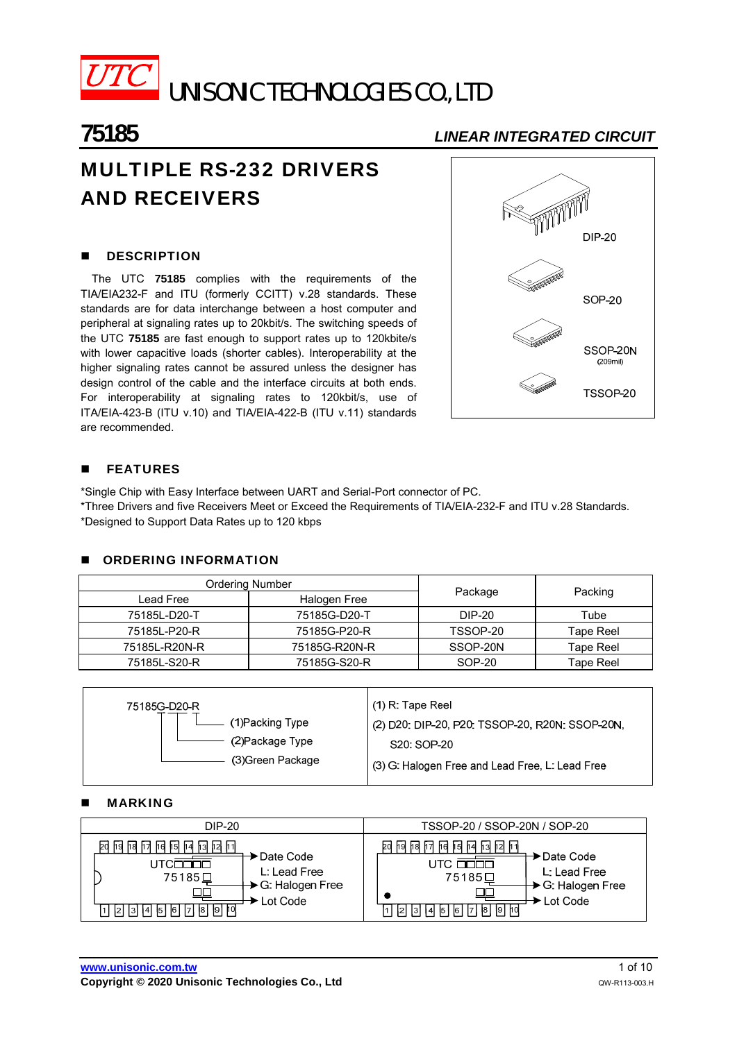

UNISONIC TECHNOLOGIES CO., LTD

# **75185** *LINEAR INTEGRATED CIRCUIT*

# MULTIPLE RS-232 DRIVERS AND RECEIVERS

# **DESCRIPTION**

The UTC **75185** complies with the requirements of the TIA/EIA232-F and ITU (formerly CCITT) v.28 standards. These standards are for data interchange between a host computer and peripheral at signaling rates up to 20kbit/s. The switching speeds of the UTC **75185** are fast enough to support rates up to 120kbite/s with lower capacitive loads (shorter cables). Interoperability at the higher signaling rates cannot be assured unless the designer has design control of the cable and the interface circuits at both ends. For interoperability at signaling rates to 120kbit/s, use of ITA/EIA-423-B (ITU v.10) and TIA/EIA-422-B (ITU v.11) standards are recommended.



# **FEATURES**

\*Single Chip with Easy Interface between UART and Serial-Port connector of PC. \*Three Drivers and five Receivers Meet or Exceed the Requirements of TIA/EIA-232-F and ITU v.28 Standards. \*Designed to Support Data Rates up to 120 kbps

# **CORDERING INFORMATION**

|               | Ordering Number |          |           |  |
|---------------|-----------------|----------|-----------|--|
| Lead Free     | Halogen Free    | Package  | Packing   |  |
| 75185L-D20-T  | 75185G-D20-T    | DIP-20   | Tube      |  |
| 75185L-P20-R  | 75185G-P20-R    | TSSOP-20 | Tape Reel |  |
| 75185L-R20N-R | 75185G-R20N-R   | SSOP-20N | Tape Reel |  |
| 75185L-S20-R  | 75185G-S20-R    | SOP-20   | Tape Reel |  |

| (2) D20: DIP-20, P20: TSSOP-20, R20N: SSOP-20N, |
|-------------------------------------------------|
|                                                 |
| (3) G: Halogen Free and Lead Free, L: Lead Free |
|                                                 |

### MARKING

| DIP-20                                                                                                                                                                    | TSSOP-20 / SSOP-20N / SOP-20                                                                                                                                                     |  |  |  |  |
|---------------------------------------------------------------------------------------------------------------------------------------------------------------------------|----------------------------------------------------------------------------------------------------------------------------------------------------------------------------------|--|--|--|--|
| २० छ। छ। सि । सि । सि । सि । सि । सि । सि<br>∙Date Code<br>700 C<br>L: Lead Free<br>75185旦<br>→ G: Halogen Free<br>► Lot Code<br> 4  5  6  7  8  9  10 <br><u> 2   3 </u> | bd<br>. helhalh 7 helhsl<br>' h41 h31 h21 h11<br>$\blacktriangleright$ Date Code<br>L: Lead Free<br>75185□<br>→ G: Halogen Free<br>► Lot Code<br> 3  4  5  6  7  8  9  10 <br> 2 |  |  |  |  |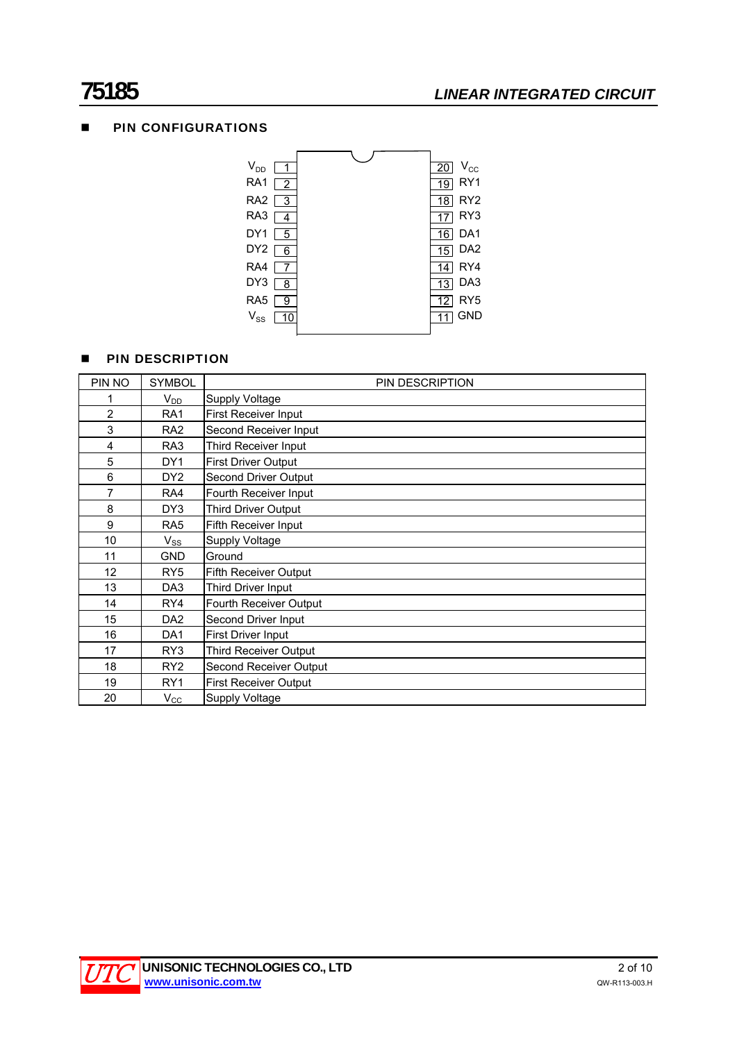# **75185** *LINEAR INTEGRATED CIRCUIT*

# **PIN CONFIGURATIONS**



# **PIN DESCRIPTION**

| PIN NO         | <b>SYMBOL</b>   | PIN DESCRIPTION              |
|----------------|-----------------|------------------------------|
|                | $V_{DD}$        | Supply Voltage               |
| $\overline{2}$ | RA <sub>1</sub> | First Receiver Input         |
| 3              | RA <sub>2</sub> | Second Receiver Input        |
| 4              | RA3             | Third Receiver Input         |
| 5              | DY1             | <b>First Driver Output</b>   |
| 6              | DY <sub>2</sub> | Second Driver Output         |
| $\overline{7}$ | RA4             | Fourth Receiver Input        |
| 8              | DY3             | Third Driver Output          |
| 9              | RA <sub>5</sub> | Fifth Receiver Input         |
| 10             | $V_{SS}$        | Supply Voltage               |
| 11             | <b>GND</b>      | Ground                       |
| 12             | RY <sub>5</sub> | <b>Fifth Receiver Output</b> |
| 13             | DA <sub>3</sub> | Third Driver Input           |
| 14             | RY4             | Fourth Receiver Output       |
| 15             | DA <sub>2</sub> | Second Driver Input          |
| 16             | DA <sub>1</sub> | First Driver Input           |
| 17             | RY3             | <b>Third Receiver Output</b> |
| 18             | RY <sub>2</sub> | Second Receiver Output       |
| 19             | RY <sub>1</sub> | <b>First Receiver Output</b> |
| 20             | $V_{\rm CC}$    | Supply Voltage               |

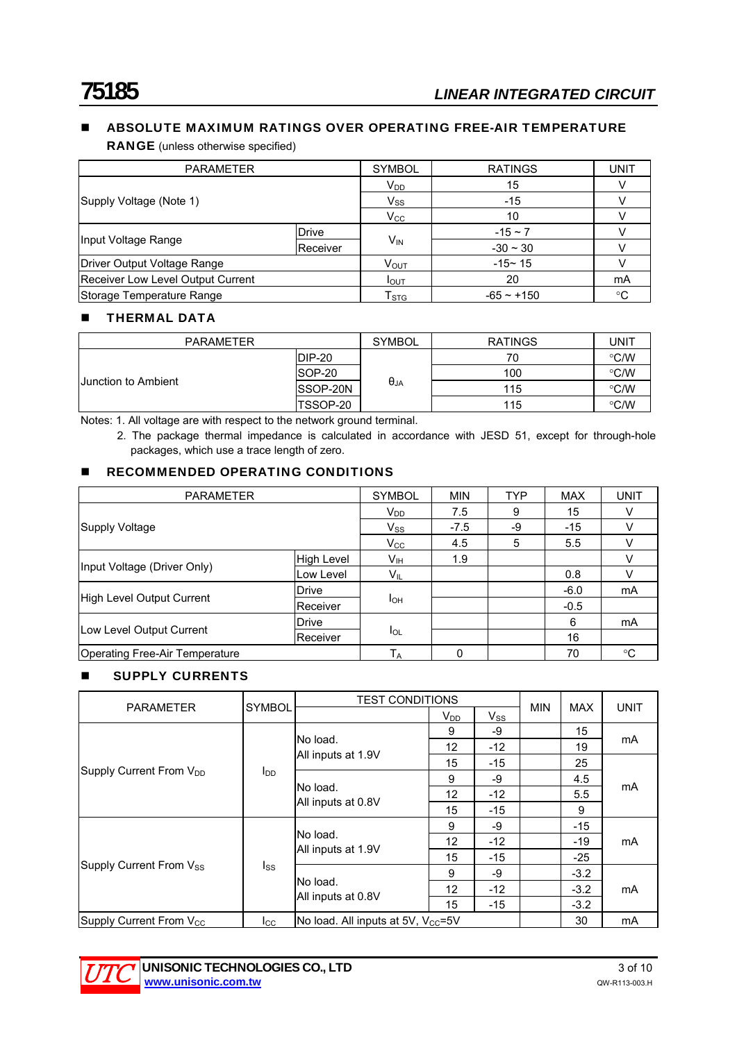# **ABSOLUTE MAXIMUM RATINGS OVER OPERATING FREE-AIR TEMPERATURE**

RANGE (unless otherwise specified)

| <b>PARAMETER</b>                  |          | <b>SYMBOL</b>               | <b>RATINGS</b> | <b>UNIT</b> |
|-----------------------------------|----------|-----------------------------|----------------|-------------|
|                                   |          | $V_{DD}$                    | 15             |             |
| Supply Voltage (Note 1)           |          | $V_{SS}$                    | $-15$          |             |
|                                   |          | $V_{\rm CC}$                | 10             |             |
|                                   | Drive    |                             | $-15 \sim 7$   |             |
| Input Voltage Range               | Receiver | $V_{\text{IN}}$             | $-30 \sim 30$  |             |
| Driver Output Voltage Range       |          | $V_{\text{OUT}}$            | $-15 - 15$     |             |
| Receiver Low Level Output Current |          | <b>I</b> OUT                | 20             | mA          |
| Storage Temperature Range         |          | $\mathsf{T}_{\texttt{STG}}$ | $-65 - +150$   | °C          |

# **THERMAL DATA**

| <b>PARAMETER</b>           |                 | <b>SYMBOL</b>          | <b>RATINGS</b> | UNIT          |
|----------------------------|-----------------|------------------------|----------------|---------------|
|                            | DIP-20          |                        | 70             | $\degree$ C/W |
|                            | SOP-20          | $\theta_{\mathsf{JA}}$ | 100            | $\degree$ C/W |
| <b>Uunction to Ambient</b> | SSOP-20N        |                        | 115            | $\degree$ C/W |
|                            | <b>TSSOP-20</b> |                        | 115            | °C/W          |

Notes: 1. All voltage are with respect to the network ground terminal.

2. The package thermal impedance is calculated in accordance with JESD 51, except for through-hole packages, which use a trace length of zero.

# **RECOMMENDED OPERATING CONDITIONS**

| <b>PARAMETER</b>               |                   | <b>SYMBOL</b> | <b>MIN</b> | <b>TYP</b> | <b>MAX</b> | <b>UNIT</b> |
|--------------------------------|-------------------|---------------|------------|------------|------------|-------------|
|                                |                   | $V_{DD}$      | 7.5        | 9          | 15         |             |
| Supply Voltage                 |                   | $V_{SS}$      | $-7.5$     | -9         | $-15$      |             |
|                                |                   | $V_{\rm CC}$  | 4.5        | 5          | 5.5        |             |
| Input Voltage (Driver Only)    | <b>High Level</b> | Vıн           | 1.9        |            |            |             |
|                                | Low Level         | VIL           |            |            | 0.8        |             |
|                                | Drive             |               |            |            | $-6.0$     | mA          |
| High Level Output Current      | Receiver          | Iон           |            |            | $-0.5$     |             |
|                                | <b>Drive</b>      |               |            |            | 6          | mA          |
| Low Level Output Current       | Receiver          | lol           |            |            | 16         |             |
| Operating Free-Air Temperature |                   | $T_A$         | 0          |            | 70         | °C          |

# **SUPPLY CURRENTS**

|                                     |              | <b>TEST CONDITIONS</b>                  |                   |          | <b>UNIT</b> |        |    |
|-------------------------------------|--------------|-----------------------------------------|-------------------|----------|-------------|--------|----|
| <b>SYMBOL</b><br><b>PARAMETER</b>   |              |                                         | $V_{DD}$          | $V_{SS}$ | <b>MIN</b>  | MAX    |    |
| Supply Current From V <sub>DD</sub> |              |                                         | 9                 | -9       |             | 15     |    |
|                                     |              | No load.                                | 12                | $-12$    |             | 19     | mA |
|                                     |              | All inputs at 1.9V                      | 15                | $-15$    |             | 25     | mA |
|                                     | $I_{DD}$     |                                         | 9                 | -9       |             | 4.5    |    |
|                                     |              | No load.<br>All inputs at 0.8V          | $12 \overline{ }$ | $-12$    |             | 5.5    |    |
|                                     |              |                                         | 15                | $-15$    |             | 9      |    |
|                                     |              |                                         | 9                 | -9       |             | $-15$  | mA |
|                                     |              | No load.                                | 12                | $-12$    |             | $-19$  |    |
|                                     |              | All inputs at 1.9V                      | 15                | $-15$    |             | $-25$  |    |
| Supply Current From Vss             | $I_{SS}$     |                                         | 9                 | -9       |             | $-3.2$ |    |
|                                     |              | No load.<br>All inputs at 0.8V          | 12                | $-12$    |             | $-3.2$ | mA |
|                                     |              |                                         | 15                | $-15$    |             | $-3.2$ |    |
| Supply Current From V <sub>CC</sub> | $_{\rm lcc}$ | No load. All inputs at 5V, $V_{CC}$ =5V |                   |          | 30          | mA     |    |

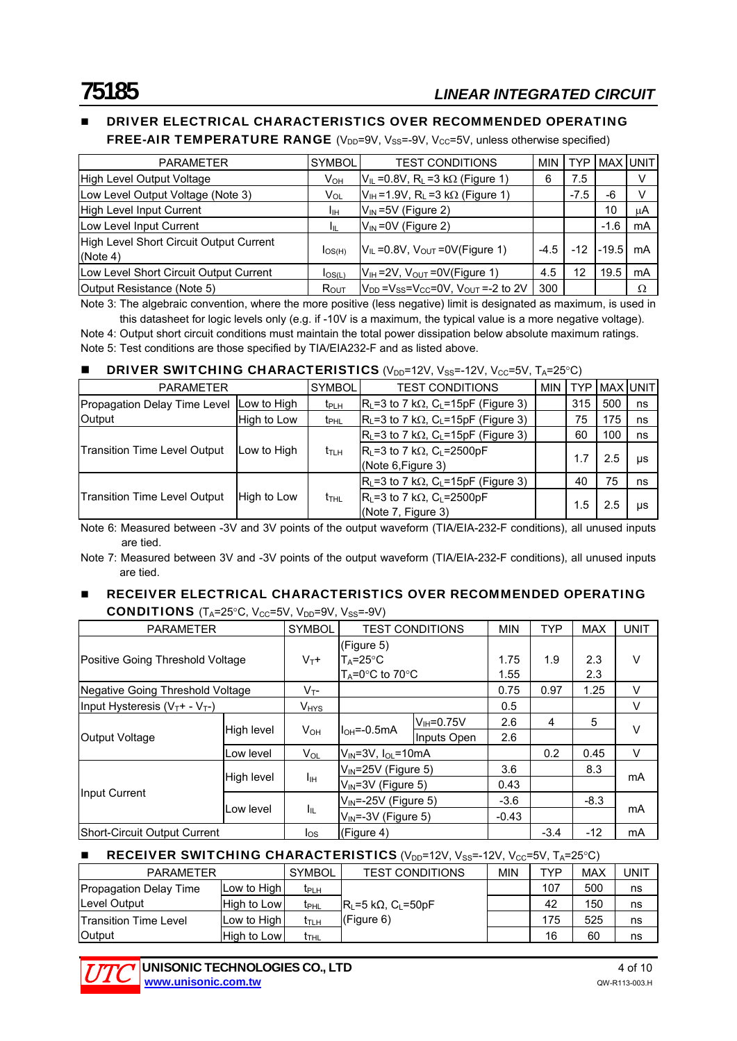# DRIVER ELECTRICAL CHARACTERISTICS OVER RECOMMENDED OPERATING

**FREE-AIR TEMPERATURE RANGE** ( $V_{DD}$ =9V,  $V_{SS}$ =-9V,  $V_{CC}$ =5V, unless otherwise specified)

| <b>PARAMETER</b>                                    | <b>SYMBOL</b>          | <b>TEST CONDITIONS</b>                                    | <b>MIN</b> | TYP.   |         | MAX UNIT |
|-----------------------------------------------------|------------------------|-----------------------------------------------------------|------------|--------|---------|----------|
| High Level Output Voltage                           | <b>V</b> <sub>OН</sub> | $V_{IL}$ = 0.8V, R <sub>L</sub> = 3 k $\Omega$ (Figure 1) | 6          | 7.5    |         | v        |
| Low Level Output Voltage (Note 3)                   | V <sub>OL</sub>        | $V_{IH}$ =1.9V, R <sub>L</sub> =3 k $\Omega$ (Figure 1)   |            | $-7.5$ | -6      | v        |
| High Level Input Current                            | Iін                    | $V_{IN}$ =5V (Figure 2)                                   |            |        | 10      | μA       |
| Low Level Input Current                             | Iш                     | $V_{\text{IN}}$ =0V (Figure 2)                            |            |        | $-1.6$  | mA       |
| High Level Short Circuit Output Current<br>(Note 4) | $I_{OS(H)}$            | $V_{IL}$ = 0.8V, $V_{OUT}$ = 0V(Figure 1)                 | $-4.5$     | $-12$  | $-19.5$ | mA       |
| Low Level Short Circuit Output Current              | $I_{OS(L)}$            | $V_{IH}$ =2V, $V_{OUT}$ =0V(Figure 1)                     | 4.5        | 12     | 19.5    | mA       |
| Output Resistance (Note 5)                          | $R_{OUT}$              | $V_{DD}$ = $V_{SS}$ = $V_{CC}$ = 0V, $V_{OUT}$ = -2 to 2V | 300        |        |         | Ω        |

Note 3: The algebraic convention, where the more positive (less negative) limit is designated as maximum, is used in this datasheet for logic levels only (e.g. if -10V is a maximum, the typical value is a more negative voltage).

Note 4: Output short circuit conditions must maintain the total power dissipation below absolute maximum ratings. Note 5: Test conditions are those specified by TIA/EIA232-F and as listed above.

### **DRIVER SWITCHING CHARACTERISTICS** ( $V_{DD}$ =12V,  $V_{SS}$ =-12V,  $V_{CC}$ =5V,  $T_A$ =25°C)

| <b>PARAMETER</b>                    |             | <b>SYMBOL</b><br><b>TEST CONDITIONS</b> |                                                                           | MIN | <b>TYP</b> |     | <b>MAX UNIT</b> |
|-------------------------------------|-------------|-----------------------------------------|---------------------------------------------------------------------------|-----|------------|-----|-----------------|
| Propagation Delay Time Level        | Low to High | t <sub>PLH</sub>                        | $R_{L}$ =3 to 7 k $\Omega$ , C <sub>L</sub> =15pF (Figure 3)              |     | 315        | 500 | ns              |
| Output                              | High to Low | t <sub>PHL</sub>                        | $R_{L}$ =3 to 7 k $\Omega$ , C <sub>L</sub> =15pF (Figure 3)              |     | 75         | 175 | ns              |
| <b>Transition Time Level Output</b> |             |                                         | $R_L$ =3 to 7 k $\Omega$ , C <sub>L</sub> =15pF (Figure 3)                |     | 60         | 100 | ns              |
|                                     | Low to High | t <sub>th</sub>                         | $R_{L}$ =3 to 7 k $\Omega$ , C <sub>L</sub> =2500pF<br>(Note 6, Figure 3) |     | 1.7        | 2.5 | μs              |
|                                     |             |                                         | $R_{L}$ =3 to 7 k $\Omega$ , C <sub>L</sub> =15pF (Figure 3)              |     | 40         | 75  | ns              |
| <b>Transition Time Level Output</b> | High to Low | t <sub>thl</sub>                        | $R_{L}$ =3 to 7 k $\Omega$ , C <sub>L</sub> =2500pF<br>(Note 7, Figure 3) |     | 1.5        | 2.5 | μs              |

Note 6: Measured between -3V and 3V points of the output waveform (TIA/EIA-232-F conditions), all unused inputs are tied.

Note 7: Measured between 3V and -3V points of the output waveform (TIA/EIA-232-F conditions), all unused inputs are tied.

#### **RECEIVER ELECTRICAL CHARACTERISTICS OVER RECOMMENDED OPERATING** CONDITIONS  $(T_A=25^{\circ}C, V_{CC}=5V, V_{DD}=9V, V_{SC}=9V)$

| $1.7 - 2.9$ $-0.7 - 0.0$ $-0.7 - 0.0$ $-0.7 - 0.0$ |            |                        |                                                  |                           |         |            |            |             |
|----------------------------------------------------|------------|------------------------|--------------------------------------------------|---------------------------|---------|------------|------------|-------------|
| <b>PARAMETER</b>                                   |            | <b>SYMBOL</b>          |                                                  | <b>TEST CONDITIONS</b>    |         | <b>TYP</b> | <b>MAX</b> | <b>UNIT</b> |
|                                                    |            |                        | (Figure 5)                                       |                           |         |            |            |             |
| Positive Going Threshold Voltage                   |            | $V_T+$                 | $T_A = 25^{\circ}C$                              |                           | 1.75    | 1.9        | 2.3        | $\vee$      |
|                                                    |            |                        | $T_A = 0^\circ \text{C}$ to 70 $^\circ \text{C}$ |                           | 1.55    |            | 2.3        |             |
| Negative Going Threshold Voltage                   |            | $V_{T^-}$              |                                                  |                           | 0.75    | 0.97       | 1.25       | V           |
| Input Hysteresis $(V_T + - V_T -)$                 |            | <b>V<sub>HYS</sub></b> |                                                  |                           | 0.5     |            |            | $\vee$      |
|                                                    | High level | $V_{OH}$               | $IOH=-0.5mA$                                     | $V_H = 0.75V$             | 2.6     | 4          | 5          | $\vee$      |
| Output Voltage                                     |            |                        |                                                  | Inputs Open               | 2.6     |            |            |             |
|                                                    | Low level  | $V_{OL}$               | $V_{IN} = 3V$ , $I_{OL} = 10mA$                  |                           |         | 0.2        | 0.45       | $\vee$      |
|                                                    |            |                        | $V_{\text{IN}}$ =25V (Figure 5)                  |                           | 3.6     |            | 8.3        |             |
|                                                    | High level | Iщ                     | $V_{IN}$ =3V (Figure 5)                          |                           | 0.43    |            |            | mA          |
| Input Current                                      |            |                        |                                                  | $V_{IN}$ =-25V (Figure 5) |         |            | $-8.3$     |             |
|                                                    | Low level  | $I_{IL}$               | $V_{IN}$ =-3V (Figure 5)                         |                           | $-0.43$ |            |            | mA          |
| Short-Circuit Output Current                       |            | $I_{OS}$               | (Figure 4)                                       |                           |         | $-3.4$     | $-12$      | mA          |

# **RECEIVER SWITCHING CHARACTERISTICS** ( $V_{DD}$ =12V,  $V_{SS}$ =-12V,  $V_{CC}$ =5V,  $T_A$ =25°C)

| <b>PARAMETER</b>              |               | <b>SYMBOL</b>           | <b>TEST CONDITIONS</b>                     | <b>MIN</b> | TYP | MAX | <b>JNIT</b> |
|-------------------------------|---------------|-------------------------|--------------------------------------------|------------|-----|-----|-------------|
| <b>Propagation Delay Time</b> | Low to High   | <b>T</b> PLH            |                                            |            | 107 | 500 | ns          |
| Level Output                  | High to Low   | <b>t</b> <sub>PHL</sub> | $ R_i = 5 k\Omega$ , C <sub>i</sub> = 50pF |            | 42  | 150 | ns          |
| <b>Transition Time Level</b>  | Low to High I | t <sub>т∟н</sub>        | $(C)$ (Figure 6)                           |            | 175 | 525 | ns          |
| <b>Output</b>                 | High to Low   | $t_{THL}$               |                                            |            | 16  | 60  | ns          |

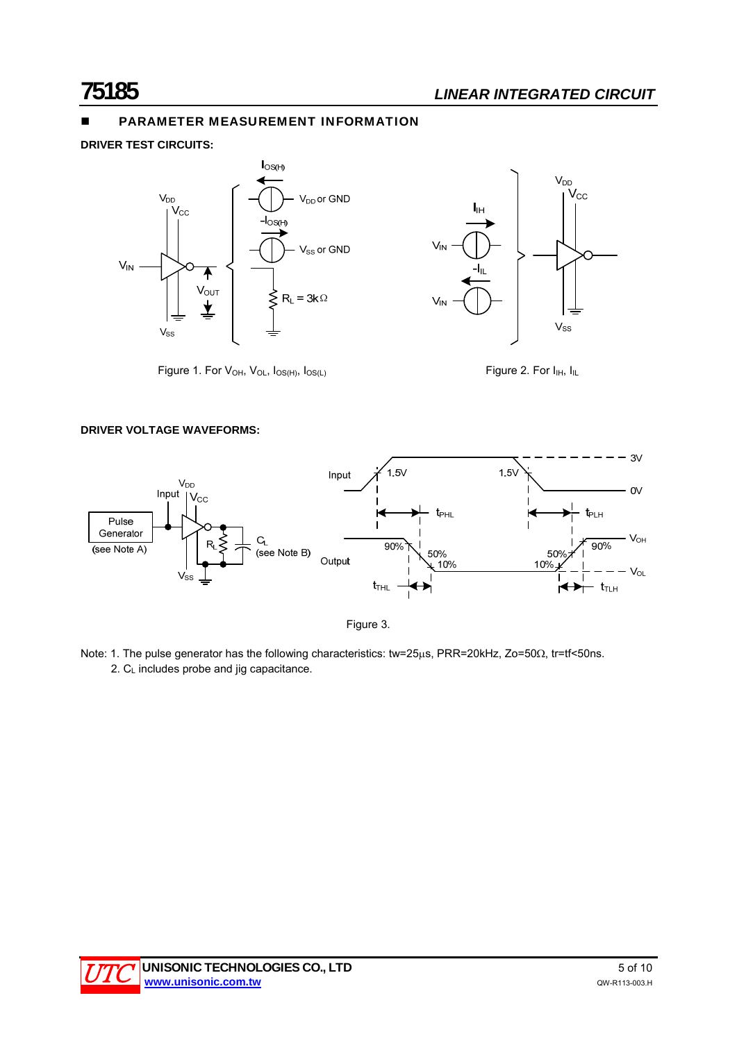# PARAMETER MEASUREMENT INFORMATION

**DRIVER TEST CIRCUITS:** 



Figure 1. For  $V_{OH}$ ,  $V_{OL}$ ,  $I_{OS(H)}$ ,  $I_{OS(L)}$  Figure 2. For  $I_{IH}$ ,  $I_{IL}$ 

#### **DRIVER VOLTAGE WAVEFORMS:**



Figure 3.

Note: 1. The pulse generator has the following characteristics: tw=25µs, PRR=20kHz, Zo=50 $\Omega$ , tr=tf<50ns.  $2. C<sub>L</sub>$  includes probe and jig capacitance.

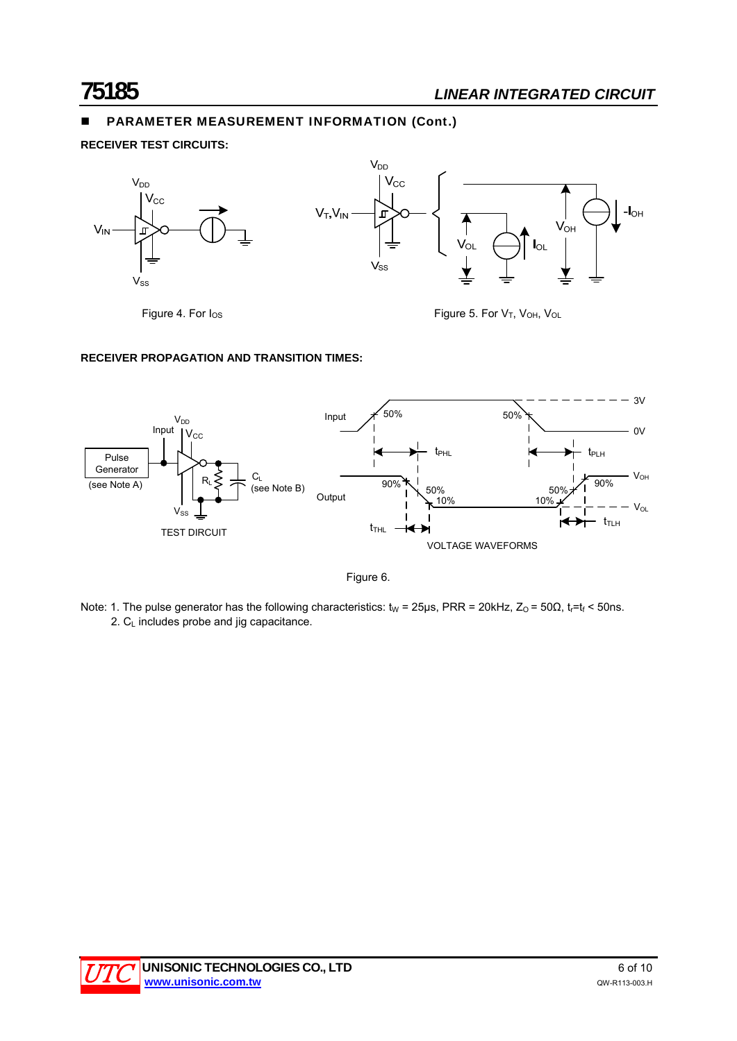# PARAMETER MEASUREMENT INFORMATION (Cont.)

**RECEIVER TEST CIRCUITS:** 



Figure 4. For  $I_{OS}$  Figure 5. For  $V_T$ ,  $V_{OH}$ ,  $V_{OL}$ 

# **RECEIVER PROPAGATION AND TRANSITION TIMES:**



Figure 6.

Note: 1. The pulse generator has the following characteristics:  $t_W = 25\mu s$ , PRR = 20kHz,  $Z_0 = 50\Omega$ ,  $t_r=t_f < 50\mu s$ . 2. C<sub>L</sub> includes probe and jig capacitance.

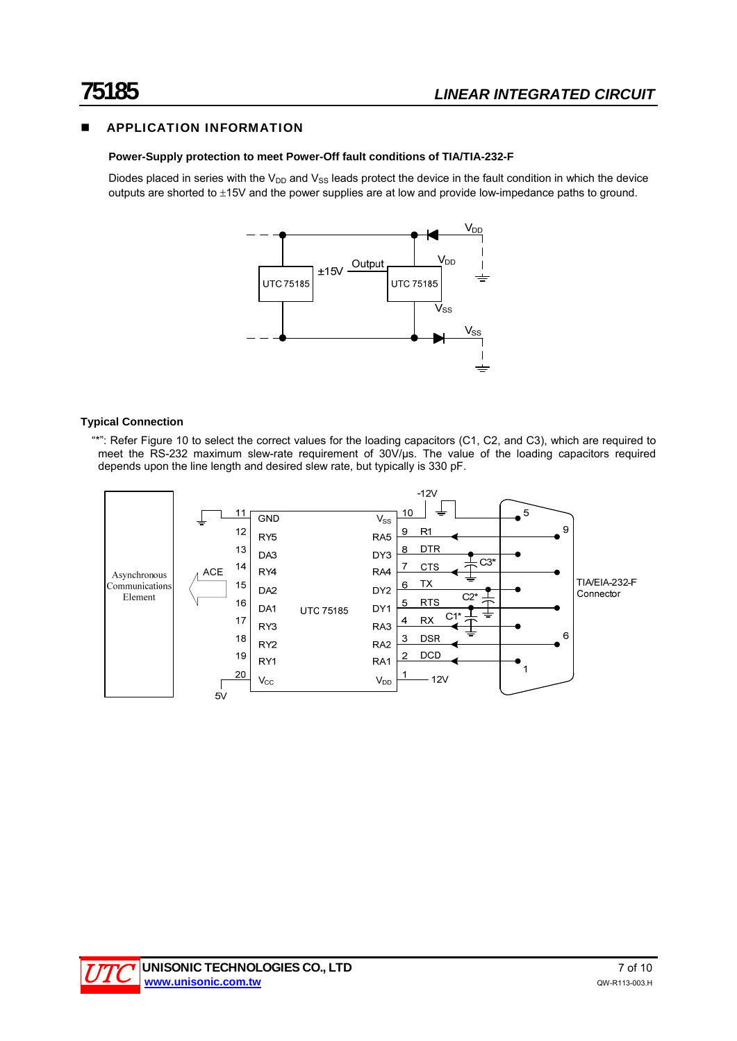# APPLICATION INFORMATION

# **Power-Supply protection to meet Power-Off fault conditions of TIA/TIA-232-F**

Diodes placed in series with the  $V_{DD}$  and  $V_{SS}$  leads protect the device in the fault condition in which the device outputs are shorted to ±15V and the power supplies are at low and provide low-impedance paths to ground.



### **Typical Connection**

 "\*": Refer Figure 10 to select the correct values for the loading capacitors (C1, C2, and C3), which are required to meet the RS-232 maximum slew-rate requirement of 30V/μs. The value of the loading capacitors required depends upon the line length and desired slew rate, but typically is 330 pF.

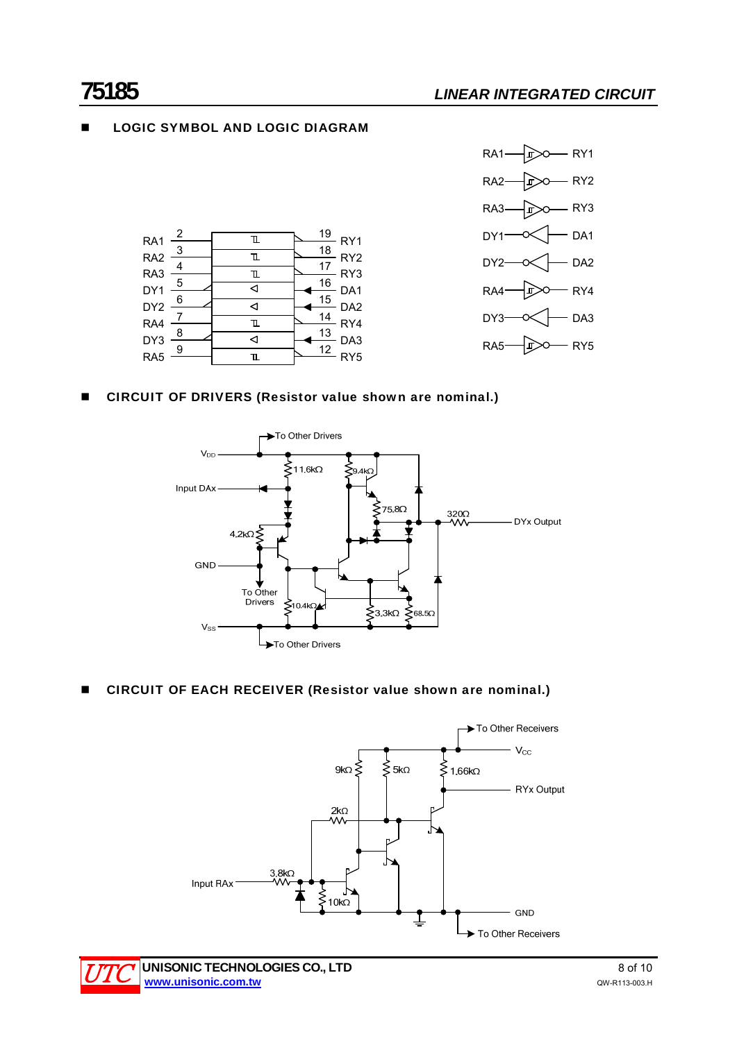# **LOGIC SYMBOL AND LOGIC DIAGRAM**





### ■ CIRCUIT OF DRIVERS (Resistor value shown are nominal.)



### ■ CIRCUIT OF EACH RECEIVER (Resistor value shown are nominal.)



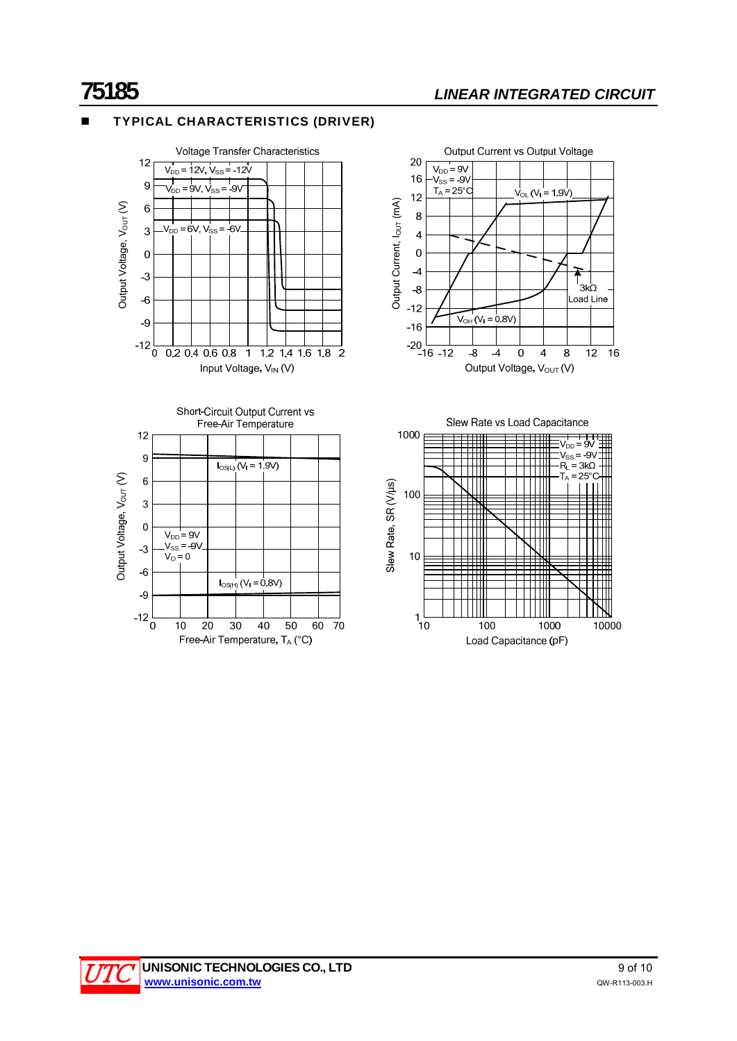# TYPICAL CHARACTERISTICS (DRIVER)